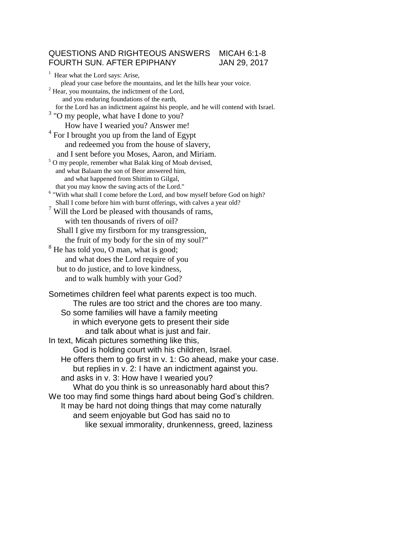## QUESTIONS AND RIGHTEOUS ANSWERS MICAH 6:1-8 FOURTH SUN. AFTER EPIPHANY JAN 29, 2017

 $<sup>1</sup>$  Hear what the Lord says: Arise,</sup> plead your case before the mountains, and let the hills hear your voice. <sup>2</sup> Hear, you mountains, the indictment of the Lord, and you enduring foundations of the earth, for the Lord has an indictment against his people, and he will contend with Israel. <sup>3</sup> "O my people, what have I done to you? How have I wearied you? Answer me! <sup>4</sup> For I brought you up from the land of Egypt and redeemed you from the house of slavery, and I sent before you Moses, Aaron, and Miriam. <sup>5</sup> O my people, remember what Balak king of Moab devised, and what Balaam the son of Beor answered him, and what happened from Shittim to Gilgal, that you may know the saving acts of the Lord." <sup>6</sup> "With what shall I come before the Lord, and bow myself before God on high? Shall I come before him with burnt offerings, with calves a year old? <sup>7</sup> Will the Lord be pleased with thousands of rams, with ten thousands of rivers of oil? Shall I give my firstborn for my transgression, the fruit of my body for the sin of my soul?"  $8$  He has told you, O man, what is good; and what does the Lord require of you but to do justice, and to love kindness, and to walk humbly with your God? Sometimes children feel what parents expect is too much. The rules are too strict and the chores are too many. So some families will have a family meeting in which everyone gets to present their side and talk about what is just and fair. In text, Micah pictures something like this, God is holding court with his children, Israel. He offers them to go first in v. 1: Go ahead, make your case. but replies in v. 2: I have an indictment against you. and asks in v. 3: How have I wearied you? What do you think is so unreasonably hard about this? We too may find some things hard about being God's children. It may be hard not doing things that may come naturally and seem enjoyable but God has said no to like sexual immorality, drunkenness, greed, laziness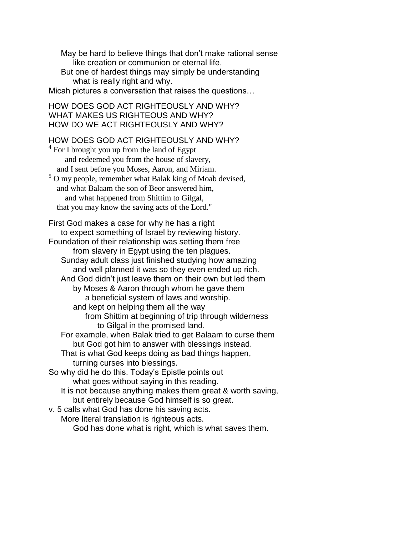May be hard to believe things that don't make rational sense like creation or communion or eternal life,

But one of hardest things may simply be understanding what is really right and why.

Micah pictures a conversation that raises the questions…

HOW DOES GOD ACT RIGHTEOUSLY AND WHY? WHAT MAKES US RIGHTEOUS AND WHY? HOW DO WE ACT RIGHTEOUSLY AND WHY?

## HOW DOES GOD ACT RIGHTEOUSLY AND WHY?

 $4$  For I brought you up from the land of Egypt and redeemed you from the house of slavery, and I sent before you Moses, Aaron, and Miriam. <sup>5</sup> O my people, remember what Balak king of Moab devised, and what Balaam the son of Beor answered him, and what happened from Shittim to Gilgal, that you may know the saving acts of the Lord."

First God makes a case for why he has a right to expect something of Israel by reviewing history. Foundation of their relationship was setting them free from slavery in Egypt using the ten plagues. Sunday adult class just finished studying how amazing and well planned it was so they even ended up rich. And God didn't just leave them on their own but led them by Moses & Aaron through whom he gave them a beneficial system of laws and worship. and kept on helping them all the way from Shittim at beginning of trip through wilderness to Gilgal in the promised land. For example, when Balak tried to get Balaam to curse them but God got him to answer with blessings instead. That is what God keeps doing as bad things happen, turning curses into blessings. So why did he do this. Today's Epistle points out what goes without saying in this reading. It is not because anything makes them great & worth saving, but entirely because God himself is so great. v. 5 calls what God has done his saving acts.

More literal translation is righteous acts.

God has done what is right, which is what saves them.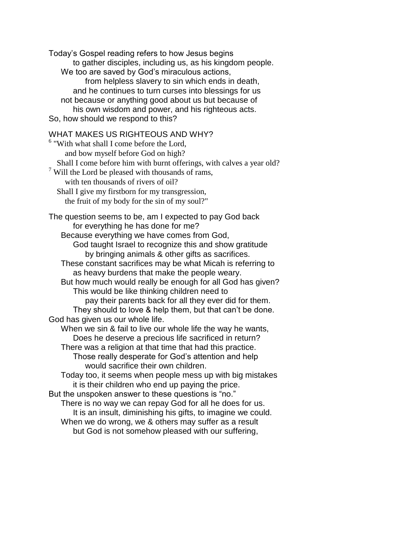Today's Gospel reading refers to how Jesus begins to gather disciples, including us, as his kingdom people. We too are saved by God's miraculous actions, from helpless slavery to sin which ends in death, and he continues to turn curses into blessings for us not because or anything good about us but because of his own wisdom and power, and his righteous acts. So, how should we respond to this?

## WHAT MAKES US RIGHTEOUS AND WHY?

<sup>6</sup> "With what shall I come before the Lord, and bow myself before God on high? Shall I come before him with burnt offerings, with calves a year old?  $7$  Will the Lord be pleased with thousands of rams, with ten thousands of rivers of oil? Shall I give my firstborn for my transgression, the fruit of my body for the sin of my soul?" The question seems to be, am I expected to pay God back for everything he has done for me? Because everything we have comes from God, God taught Israel to recognize this and show gratitude by bringing animals & other gifts as sacrifices. These constant sacrifices may be what Micah is referring to as heavy burdens that make the people weary. But how much would really be enough for all God has given? This would be like thinking children need to pay their parents back for all they ever did for them. They should to love & help them, but that can't be done. God has given us our whole life. When we sin & fail to live our whole life the way he wants, Does he deserve a precious life sacrificed in return? There was a religion at that time that had this practice. Those really desperate for God's attention and help would sacrifice their own children. Today too, it seems when people mess up with big mistakes it is their children who end up paying the price. But the unspoken answer to these questions is "no." There is no way we can repay God for all he does for us. It is an insult, diminishing his gifts, to imagine we could. When we do wrong, we & others may suffer as a result but God is not somehow pleased with our suffering,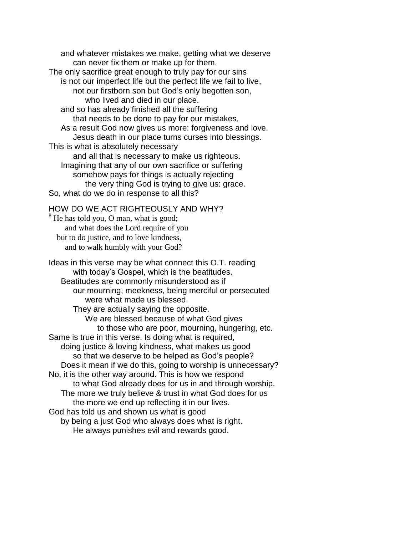and whatever mistakes we make, getting what we deserve can never fix them or make up for them. The only sacrifice great enough to truly pay for our sins is not our imperfect life but the perfect life we fail to live, not our firstborn son but God's only begotten son, who lived and died in our place. and so has already finished all the suffering that needs to be done to pay for our mistakes, As a result God now gives us more: forgiveness and love. Jesus death in our place turns curses into blessings. This is what is absolutely necessary and all that is necessary to make us righteous. Imagining that any of our own sacrifice or suffering somehow pays for things is actually rejecting the very thing God is trying to give us: grace. So, what do we do in response to all this?

## HOW DO WE ACT RIGHTEOUSLY AND WHY?

<sup>8</sup> He has told you, O man, what is good; and what does the Lord require of you but to do justice, and to love kindness, and to walk humbly with your God?

Ideas in this verse may be what connect this O.T. reading with today's Gospel, which is the beatitudes. Beatitudes are commonly misunderstood as if our mourning, meekness, being merciful or persecuted were what made us blessed. They are actually saying the opposite. We are blessed because of what God gives to those who are poor, mourning, hungering, etc. Same is true in this verse. Is doing what is required, doing justice & loving kindness, what makes us good so that we deserve to be helped as God's people? Does it mean if we do this, going to worship is unnecessary? No, it is the other way around. This is how we respond to what God already does for us in and through worship. The more we truly believe & trust in what God does for us the more we end up reflecting it in our lives. God has told us and shown us what is good by being a just God who always does what is right. He always punishes evil and rewards good.